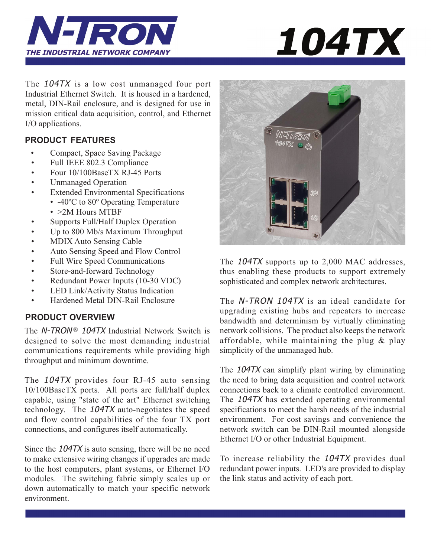



The 104TX is a low cost unmanaged four port Industrial Ethernet Switch. It is housed in a hardened, metal, DIN-Rail enclosure, and is designed for use in mission critical data acquisition, control, and Ethernet I/O applications.

# **PRODUCT FEATURES**

- Compact, Space Saving Package
- Full IEEE 802.3 Compliance
- Four 10/100BaseTX RJ-45 Ports
- Unmanaged Operation
- Extended Environmental Specifications • -40°C to 80° Operating Temperature
	- > 2M Hours MTBF
- Supports Full/Half Duplex Operation
- Up to 800 Mb/s Maximum Throughput
- MDIX Auto Sensing Cable
- Auto Sensing Speed and Flow Control
- Full Wire Speed Communications
- Store-and-forward Technology
- Redundant Power Inputs (10-30 VDC)
- LED Link/Activity Status Indication
- Hardened Metal DIN-Rail Enclosure

# **PRODUCT OVERVIEW**

The  $N$ -TRON<sup>®</sup> 104TX Industrial Network Switch is designed to solve the most demanding industrial communications requirements while providing high throughput and minimum downtime.

The 104TX provides four RJ-45 auto sensing 10/100BaseTX ports. All ports are full/half duplex capable, using "state of the art" Ethernet switching technology. The 104TX auto-negotiates the speed and flow control capabilities of the four TX port connections, and configures itself automatically.

Since the 104TX is auto sensing, there will be no need to make extensive wiring changes if upgrades are made to the host computers, plant systems, or Ethernet I/O modules. The switching fabric simply scales up or down automatically to match your specific network environment.



The 104TX supports up to 2,000 MAC addresses, thus enabling these products to support extremely sophisticated and complex network architectures.

The N-TRON 104TX is an ideal candidate for upgrading existing hubs and repeaters to increase bandwidth and determinism by virtually eliminating network collisions. The product also keeps the network affordable, while maintaining the plug & play simplicity of the unmanaged hub.

The 104TX can simplify plant wiring by eliminating the need to bring data acquisition and control network connections back to a climate controlled environment. The 104TX has extended operating environmental specifications to meet the harsh needs of the industrial environment. For cost savings and convenience the network switch can be DIN-Rail mounted alongside Ethernet I/O or other Industrial Equipment.

To increase reliability the 104TX provides dual redundant power inputs. LED's are provided to display the link status and activity of each port.